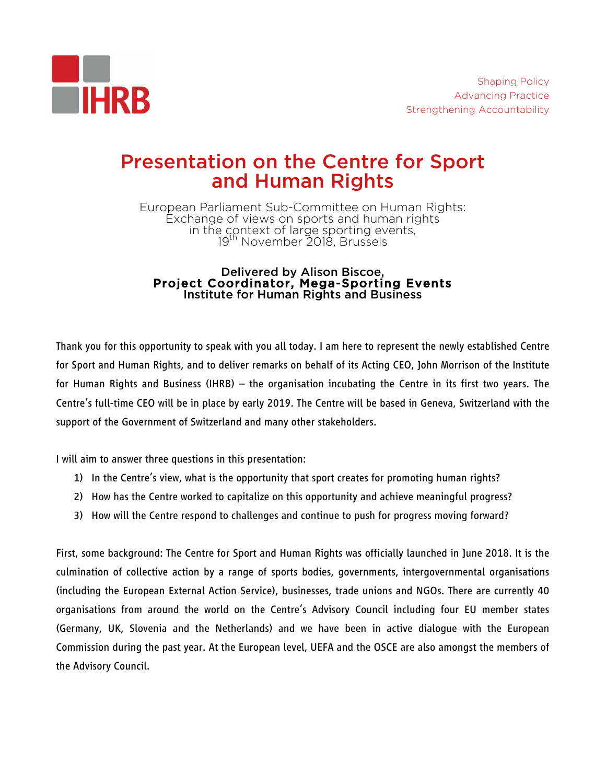

# Presentation on the Centre for Sport and Human Rights

European Parliament Sub-Committee on Human Rights: Exchange of views on sports and human rights in the context of large sporting events, 19th November 2018, Brussels

## Delivered by Alison Biscoe, Project Coordinator, Mega-Sporting Events Institute for Human Rights and Business

Thank you for this opportunity to speak with you all today. I am here to represent the newly established Centre for Sport and Human Rights, and to deliver remarks on behalf of its Acting CEO, John Morrison of the Institute for Human Rights and Business (IHRB) – the organisation incubating the Centre in its first two years. The Centre's full-time CEO will be in place by early 2019. The Centre will be based in Geneva, Switzerland with the support of the Government of Switzerland and many other stakeholders.

I will aim to answer three questions in this presentation:

- 1) In the Centre's view, what is the opportunity that sport creates for promoting human rights?
- 2) How has the Centre worked to capitalize on this opportunity and achieve meaningful progress?
- 3) How will the Centre respond to challenges and continue to push for progress moving forward?

First, some background: The Centre for Sport and Human Rights was officially launched in June 2018. It is the culmination of collective action by a range of sports bodies, governments, intergovernmental organisations (including the European External Action Service), businesses, trade unions and NGOs. There are currently 40 organisations from around the world on the Centre's Advisory Council including four EU member states (Germany, UK, Slovenia and the Netherlands) and we have been in active dialogue with the European Commission during the past year. At the European level, UEFA and the OSCE are also amongst the members of the Advisory Council.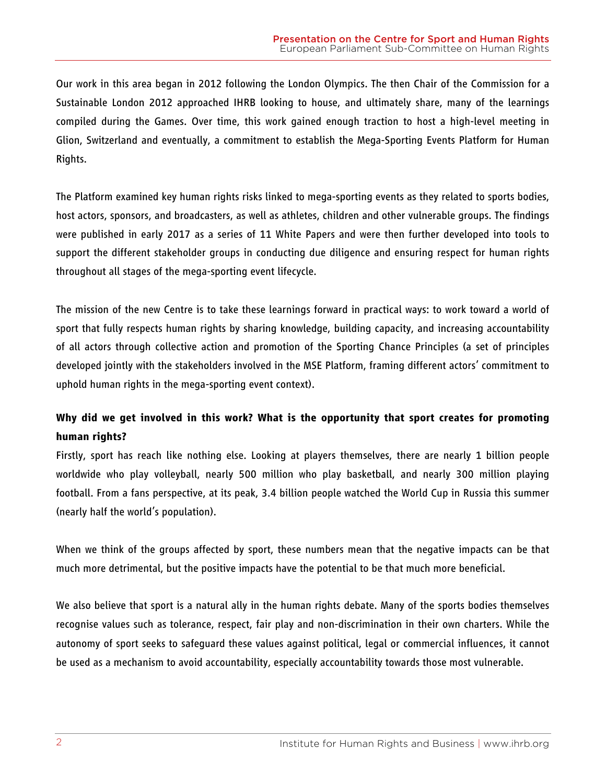Our work in this area began in 2012 following the London Olympics. The then Chair of the Commission for a Sustainable London 2012 approached IHRB looking to house, and ultimately share, many of the learnings compiled during the Games. Over time, this work gained enough traction to host a high-level meeting in Glion, Switzerland and eventually, a commitment to establish the Mega-Sporting Events Platform for Human Rights.

The Platform examined key human rights risks linked to mega-sporting events as they related to sports bodies, host actors, sponsors, and broadcasters, as well as athletes, children and other vulnerable groups. The findings were published in early 2017 as a series of 11 White Papers and were then further developed into tools to support the different stakeholder groups in conducting due diligence and ensuring respect for human rights throughout all stages of the mega-sporting event lifecycle.

The mission of the new Centre is to take these learnings forward in practical ways: to work toward a world of sport that fully respects human rights by sharing knowledge, building capacity, and increasing accountability of all actors through collective action and promotion of the Sporting Chance Principles (a set of principles developed jointly with the stakeholders involved in the MSE Platform, framing different actors' commitment to uphold human rights in the mega-sporting event context).

## **Why did we get involved in this work? What is the opportunity that sport creates for promoting human rights?**

Firstly, sport has reach like nothing else. Looking at players themselves, there are nearly 1 billion people worldwide who play volleyball, nearly 500 million who play basketball, and nearly 300 million playing football. From a fans perspective, at its peak, 3.4 billion people watched the World Cup in Russia this summer (nearly half the world's population).

When we think of the groups affected by sport, these numbers mean that the negative impacts can be that much more detrimental, but the positive impacts have the potential to be that much more beneficial.

We also believe that sport is a natural ally in the human rights debate. Many of the sports bodies themselves recognise values such as tolerance, respect, fair play and non-discrimination in their own charters. While the autonomy of sport seeks to safeguard these values against political, legal or commercial influences, it cannot be used as a mechanism to avoid accountability, especially accountability towards those most vulnerable.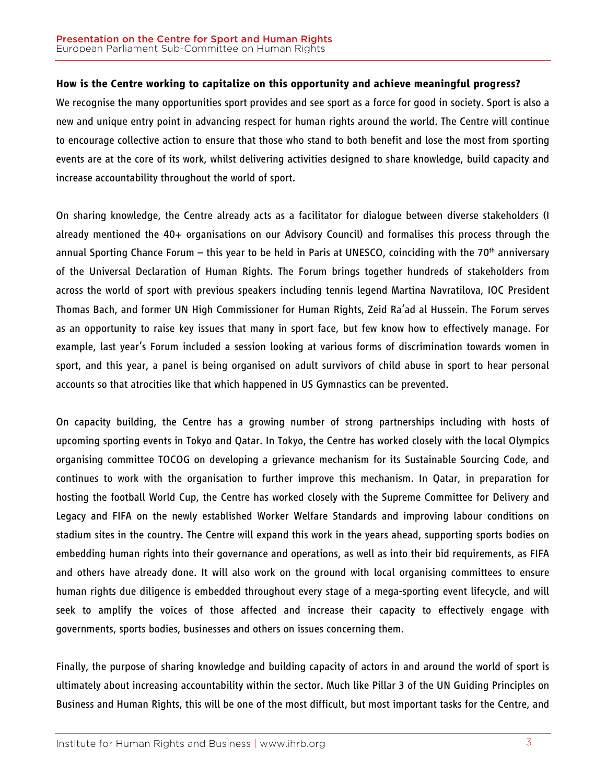### **How is the Centre working to capitalize on this opportunity and achieve meaningful progress?**

We recognise the many opportunities sport provides and see sport as a force for good in society. Sport is also a new and unique entry point in advancing respect for human rights around the world. The Centre will continue to encourage collective action to ensure that those who stand to both benefit and lose the most from sporting events are at the core of its work, whilst delivering activities designed to share knowledge, build capacity and increase accountability throughout the world of sport.

On sharing knowledge, the Centre already acts as a facilitator for dialogue between diverse stakeholders (I already mentioned the 40+ organisations on our Advisory Council) and formalises this process through the annual Sporting Chance Forum – this year to be held in Paris at UNESCO, coinciding with the 70<sup>th</sup> anniversary of the Universal Declaration of Human Rights. The Forum brings together hundreds of stakeholders from across the world of sport with previous speakers including tennis legend Martina Navratilova, IOC President Thomas Bach, and former UN High Commissioner for Human Rights, Zeid Ra'ad al Hussein. The Forum serves as an opportunity to raise key issues that many in sport face, but few know how to effectively manage. For example, last year's Forum included a session looking at various forms of discrimination towards women in sport, and this year, a panel is being organised on adult survivors of child abuse in sport to hear personal accounts so that atrocities like that which happened in US Gymnastics can be prevented.

On capacity building, the Centre has a growing number of strong partnerships including with hosts of upcoming sporting events in Tokyo and Qatar. In Tokyo, the Centre has worked closely with the local Olympics organising committee TOCOG on developing a grievance mechanism for its Sustainable Sourcing Code, and continues to work with the organisation to further improve this mechanism. In Qatar, in preparation for hosting the football World Cup, the Centre has worked closely with the Supreme Committee for Delivery and Legacy and FIFA on the newly established Worker Welfare Standards and improving labour conditions on stadium sites in the country. The Centre will expand this work in the years ahead, supporting sports bodies on embedding human rights into their governance and operations, as well as into their bid requirements, as FIFA and others have already done. It will also work on the ground with local organising committees to ensure human rights due diligence is embedded throughout every stage of a mega-sporting event lifecycle, and will seek to amplify the voices of those affected and increase their capacity to effectively engage with governments, sports bodies, businesses and others on issues concerning them.

Finally, the purpose of sharing knowledge and building capacity of actors in and around the world of sport is ultimately about increasing accountability within the sector. Much like Pillar 3 of the UN Guiding Principles on Business and Human Rights, this will be one of the most difficult, but most important tasks for the Centre, and